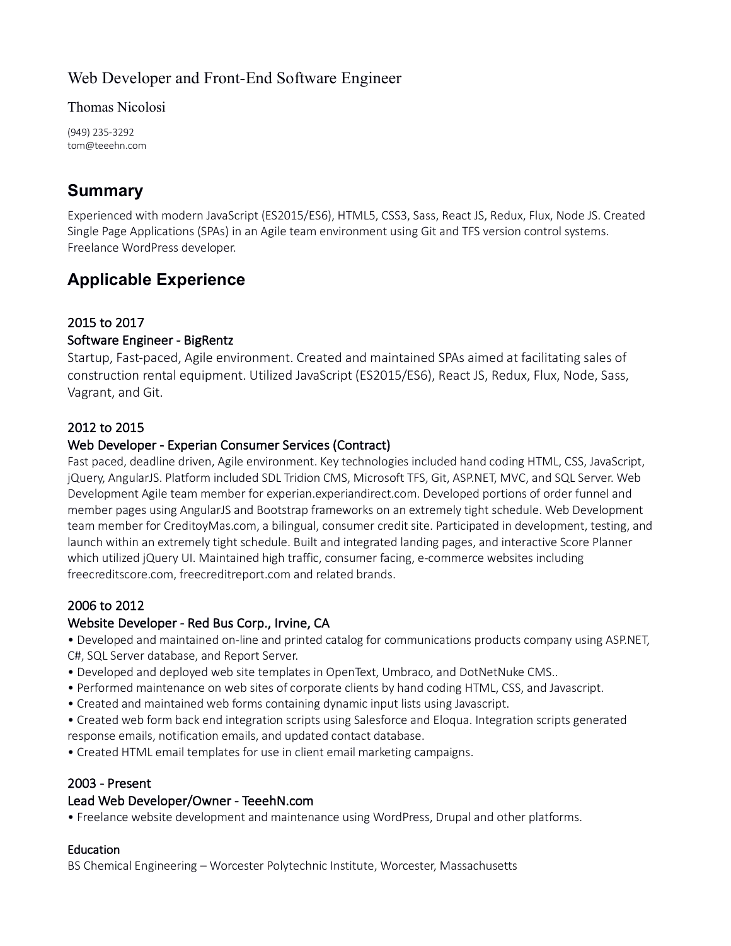## Web Developer and Front-End Software Engineer

Thomas Nicolosi

(949) 235-3292 tom@teeehn.com

# **Summary**

Experienced with modern JavaScript (ES2015/ES6), HTML5, CSS3, Sass, React JS, Redux, Flux, Node JS. Created Single Page Applications (SPAs) in an Agile team environment using Git and TFS version control systems. Freelance WordPress developer.

# **Applicable Experience**

## 2015 to 2017

### Software Engineer - BigRentz

Startup, Fast-paced, Agile environment. Created and maintained SPAs aimed at facilitating sales of construction rental equipment. Utilized JavaScript (ES2015/ES6), React JS, Redux, Flux, Node, Sass, Vagrant, and Git.

### 2012 to 2015

### Web Developer - Experian Consumer Services (Contract)

Fast paced, deadline driven, Agile environment. Key technologies included hand coding HTML, CSS, JavaScript, jQuery, AngularJS. Platform included SDL Tridion CMS, Microsoft TFS, Git, ASP.NET, MVC, and SQL Server. Web Development Agile team member for experian.experiandirect.com. Developed portions of order funnel and member pages using AngularJS and Bootstrap frameworks on an extremely tight schedule. Web Development team member for CreditoyMas.com, a bilingual, consumer credit site. Participated in development, testing, and launch within an extremely tight schedule. Built and integrated landing pages, and interactive Score Planner which utilized jQuery UI. Maintained high traffic, consumer facing, e-commerce websites including freecreditscore.com, freecreditreport.com and related brands.

## 2006 to 2012

## Website Developer - Red Bus Corp., Irvine, CA

• Developed and maintained on-line and printed catalog for communications products company using ASP.NET, C#, SQL Server database, and Report Server.

- Developed and deployed web site templates in OpenText, Umbraco, and DotNetNuke CMS..
- Performed maintenance on web sites of corporate clients by hand coding HTML, CSS, and Javascript.
- Created and maintained web forms containing dynamic input lists using Javascript.

• Created web form back end integration scripts using Salesforce and Eloqua. Integration scripts generated response emails, notification emails, and updated contact database.

• Created HTML email templates for use in client email marketing campaigns.

#### 2003 - Present

#### Lead Web Developer/Owner - TeeehN.com

• Freelance website development and maintenance using WordPress, Drupal and other platforms.

#### **Education**

BS Chemical Engineering – Worcester Polytechnic Institute, Worcester, Massachusetts